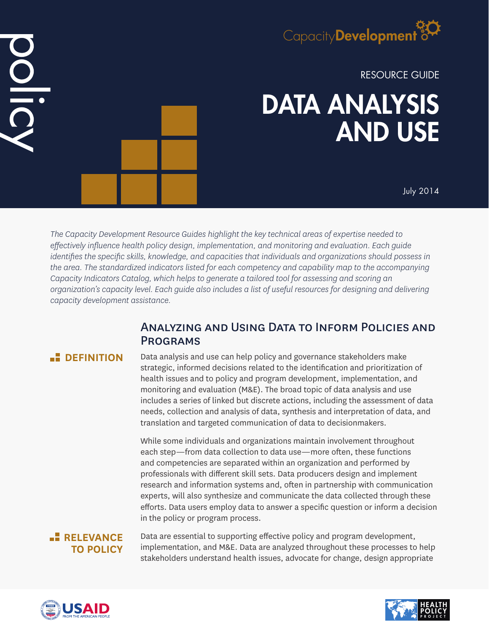# Capacity Development<sup>3</sup>

RESOURCE GUIDE

# DATA ANALYSIS AND USE

July 2014

*The Capacity Development Resource Guides highlight the key technical areas of expertise needed to effectively influence health policy design, implementation, and monitoring and evaluation. Each guide identifies the specific skills, knowledge, and capacities that individuals and organizations should possess in the area. The standardized indicators listed for each competency and capability map to the accompanying Capacity Indicators Catalog, which helps to generate a tailored tool for assessing and scoring an organization's capacity level. Each guide also includes a list of useful resources for designing and delivering capacity development assistance.*

# Analyzing and Using Data to Inform Policies and **PROGRAMS**

DOLIC

**DEFINITION** Data analysis and use can help policy and governance stakeholders make strategic, informed decisions related to the identification and prioritization of health issues and to policy and program development, implementation, and monitoring and evaluation (M&E). The broad topic of data analysis and use includes a series of linked but discrete actions, including the assessment of data needs, collection and analysis of data, synthesis and interpretation of data, and translation and targeted communication of data to decisionmakers.

> While some individuals and organizations maintain involvement throughout each step—from data collection to data use—more often, these functions and competencies are separated within an organization and performed by professionals with different skill sets. Data producers design and implement research and information systems and, often in partnership with communication experts, will also synthesize and communicate the data collected through these efforts. Data users employ data to answer a specific question or inform a decision in the policy or program process.

# **RELEVANCE TO POLICY**

Data are essential to supporting effective policy and program development, implementation, and M&E. Data are analyzed throughout these processes to help stakeholders understand health issues, advocate for change, design appropriate



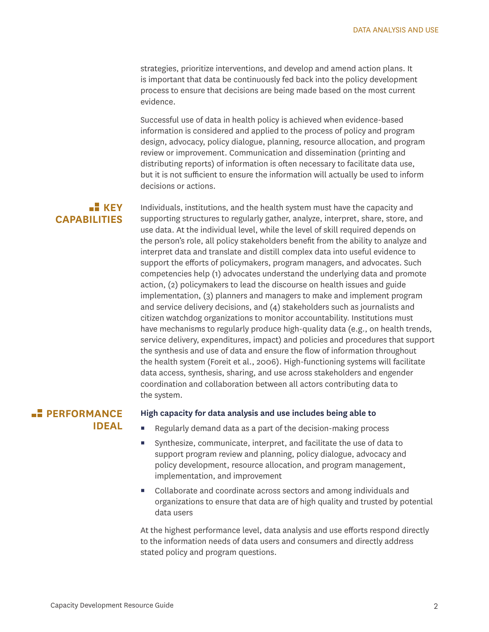strategies, prioritize interventions, and develop and amend action plans. It is important that data be continuously fed back into the policy development process to ensure that decisions are being made based on the most current evidence.

Successful use of data in health policy is achieved when evidence-based information is considered and applied to the process of policy and program design, advocacy, policy dialogue, planning, resource allocation, and program review or improvement. Communication and dissemination (printing and distributing reports) of information is often necessary to facilitate data use, but it is not sufficient to ensure the information will actually be used to inform decisions or actions.

## **KEY CAPABILITIES**

Individuals, institutions, and the health system must have the capacity and supporting structures to regularly gather, analyze, interpret, share, store, and use data. At the individual level, while the level of skill required depends on the person's role, all policy stakeholders benefit from the ability to analyze and interpret data and translate and distill complex data into useful evidence to support the efforts of policymakers, program managers, and advocates. Such competencies help (1) advocates understand the underlying data and promote action, (2) policymakers to lead the discourse on health issues and guide implementation, (3) planners and managers to make and implement program and service delivery decisions, and (4) stakeholders such as journalists and citizen watchdog organizations to monitor accountability. Institutions must have mechanisms to regularly produce high-quality data (e.g., on health trends, service delivery, expenditures, impact) and policies and procedures that support the synthesis and use of data and ensure the flow of information throughout the health system (Foreit et al., 2006). High-functioning systems will facilitate data access, synthesis, sharing, and use across stakeholders and engender coordination and collaboration between all actors contributing data to the system.

## **PERFORMANCE IDEAL**

#### **High capacity for data analysis and use includes being able to**

- Regularly demand data as a part of the decision-making process
- Synthesize, communicate, interpret, and facilitate the use of data to support program review and planning, policy dialogue, advocacy and policy development, resource allocation, and program management, implementation, and improvement
- Collaborate and coordinate across sectors and among individuals and organizations to ensure that data are of high quality and trusted by potential data users

At the highest performance level, data analysis and use efforts respond directly to the information needs of data users and consumers and directly address stated policy and program questions.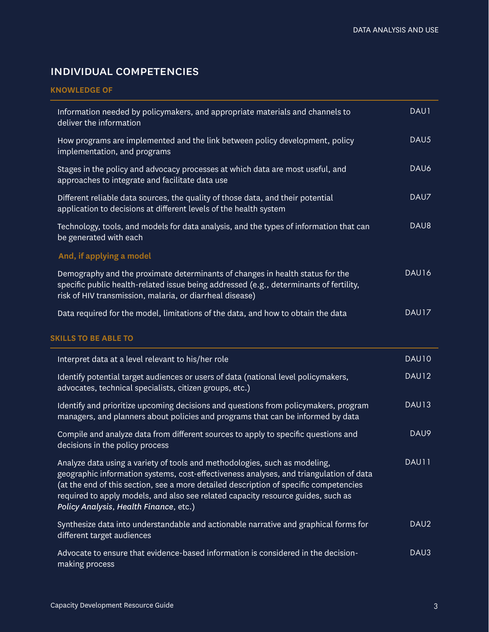# individual competencies

#### **KNOWLEDGE OF**

| Information needed by policymakers, and appropriate materials and channels to<br>deliver the information                                                                                                                                                                                                                                                                                    | DAU1  |
|---------------------------------------------------------------------------------------------------------------------------------------------------------------------------------------------------------------------------------------------------------------------------------------------------------------------------------------------------------------------------------------------|-------|
| How programs are implemented and the link between policy development, policy<br>implementation, and programs                                                                                                                                                                                                                                                                                | DAU5  |
| Stages in the policy and advocacy processes at which data are most useful, and<br>approaches to integrate and facilitate data use                                                                                                                                                                                                                                                           | DAU6  |
| Different reliable data sources, the quality of those data, and their potential<br>application to decisions at different levels of the health system                                                                                                                                                                                                                                        | DAU7  |
| Technology, tools, and models for data analysis, and the types of information that can<br>be generated with each                                                                                                                                                                                                                                                                            | DAU8  |
| And, if applying a model                                                                                                                                                                                                                                                                                                                                                                    |       |
| Demography and the proximate determinants of changes in health status for the<br>specific public health-related issue being addressed (e.g., determinants of fertility,<br>risk of HIV transmission, malaria, or diarrheal disease)                                                                                                                                                         | DAU16 |
| Data required for the model, limitations of the data, and how to obtain the data                                                                                                                                                                                                                                                                                                            | DAU17 |
|                                                                                                                                                                                                                                                                                                                                                                                             |       |
| <b>SKILLS TO BE ABLE TO</b>                                                                                                                                                                                                                                                                                                                                                                 |       |
| Interpret data at a level relevant to his/her role                                                                                                                                                                                                                                                                                                                                          | DAU10 |
| Identify potential target audiences or users of data (national level policymakers,<br>advocates, technical specialists, citizen groups, etc.)                                                                                                                                                                                                                                               | DAU12 |
| Identify and prioritize upcoming decisions and questions from policymakers, program<br>managers, and planners about policies and programs that can be informed by data                                                                                                                                                                                                                      | DAU13 |
| Compile and analyze data from different sources to apply to specific questions and<br>decisions in the policy process                                                                                                                                                                                                                                                                       | DAU9  |
| Analyze data using a variety of tools and methodologies, such as modeling,<br>geographic information systems, cost-effectiveness analyses, and triangulation of data<br>(at the end of this section, see a more detailed description of specific competencies<br>required to apply models, and also see related capacity resource guides, such as<br>Policy Analysis, Health Finance, etc.) | DAU11 |
| Synthesize data into understandable and actionable narrative and graphical forms for<br>different target audiences                                                                                                                                                                                                                                                                          | DAU2  |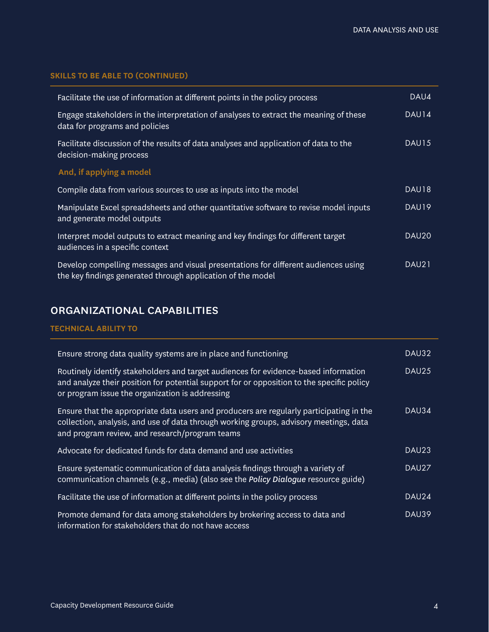### **SKILLS TO BE ABLE TO (CONTINUED)**

| Facilitate the use of information at different points in the policy process                                                                       | DAU4              |
|---------------------------------------------------------------------------------------------------------------------------------------------------|-------------------|
| Engage stakeholders in the interpretation of analyses to extract the meaning of these<br>data for programs and policies                           | DAU14             |
| Facilitate discussion of the results of data analyses and application of data to the<br>decision-making process                                   | DAU15             |
| And, if applying a model                                                                                                                          |                   |
| Compile data from various sources to use as inputs into the model                                                                                 | DAU18             |
| Manipulate Excel spreadsheets and other quantitative software to revise model inputs<br>and generate model outputs                                | DAU19             |
| Interpret model outputs to extract meaning and key findings for different target<br>audiences in a specific context                               | DAU <sub>20</sub> |
| Develop compelling messages and visual presentations for different audiences using<br>the key findings generated through application of the model | DAU21             |

# organizational capabilities

### **TECHNICAL ABILITY TO**

| Ensure strong data quality systems are in place and functioning                                                                                                                                                                     | DAU32             |
|-------------------------------------------------------------------------------------------------------------------------------------------------------------------------------------------------------------------------------------|-------------------|
| Routinely identify stakeholders and target audiences for evidence-based information<br>and analyze their position for potential support for or opposition to the specific policy<br>or program issue the organization is addressing | DAU25             |
| Ensure that the appropriate data users and producers are regularly participating in the<br>collection, analysis, and use of data through working groups, advisory meetings, data<br>and program review, and research/program teams  | DAU34             |
| Advocate for dedicated funds for data demand and use activities                                                                                                                                                                     | DAU <sub>23</sub> |
| Ensure systematic communication of data analysis findings through a variety of<br>communication channels (e.g., media) (also see the Policy Dialogue resource guide)                                                                | DAU27             |
| Facilitate the use of information at different points in the policy process                                                                                                                                                         | DAU24             |
| Promote demand for data among stakeholders by brokering access to data and<br>information for stakeholders that do not have access                                                                                                  | DAU39             |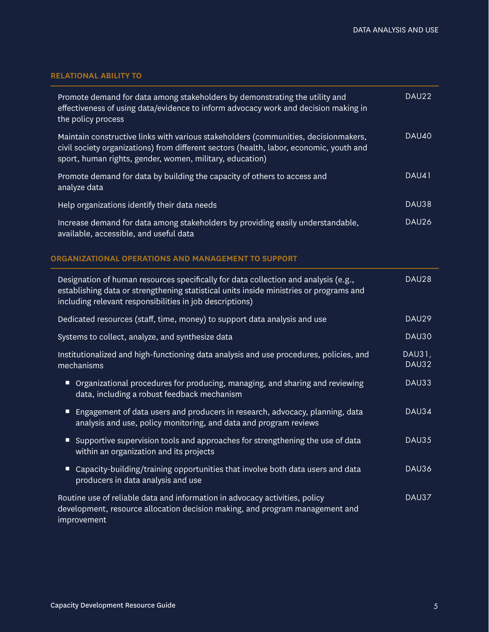### **RELATIONAL ABILITY TO**

| Promote demand for data among stakeholders by demonstrating the utility and<br>effectiveness of using data/evidence to inform advocacy work and decision making in<br>the policy process                                                   | DAU22           |
|--------------------------------------------------------------------------------------------------------------------------------------------------------------------------------------------------------------------------------------------|-----------------|
| Maintain constructive links with various stakeholders (communities, decisionmakers,<br>civil society organizations) from different sectors (health, labor, economic, youth and<br>sport, human rights, gender, women, military, education) | <b>DAU40</b>    |
| Promote demand for data by building the capacity of others to access and<br>analyze data                                                                                                                                                   | DAU41           |
| Help organizations identify their data needs                                                                                                                                                                                               | DAU38           |
| Increase demand for data among stakeholders by providing easily understandable,<br>available, accessible, and useful data                                                                                                                  | DAU26           |
| ORGANIZATIONAL OPERATIONS AND MANAGEMENT TO SUPPORT                                                                                                                                                                                        |                 |
| Designation of human resources specifically for data collection and analysis (e.g.,<br>establishing data or strengthening statistical units inside ministries or programs and<br>including relevant responsibilities in job descriptions)  | DAU28           |
| Dedicated resources (staff, time, money) to support data analysis and use                                                                                                                                                                  | DAU29           |
| Systems to collect, analyze, and synthesize data                                                                                                                                                                                           | <b>DAU30</b>    |
| Institutionalized and high-functioning data analysis and use procedures, policies, and<br>mechanisms                                                                                                                                       | DAU31,<br>DAU32 |
| ■ Organizational procedures for producing, managing, and sharing and reviewing<br>data, including a robust feedback mechanism                                                                                                              | DAU33           |
| Engagement of data users and producers in research, advocacy, planning, data<br>analysis and use, policy monitoring, and data and program reviews                                                                                          | DAU34           |
| Supportive supervision tools and approaches for strengthening the use of data<br>within an organization and its projects                                                                                                                   | DAU35           |
| Capacity-building/training opportunities that involve both data users and data<br>Ξ<br>producers in data analysis and use                                                                                                                  | DAU36           |
| Routine use of reliable data and information in advocacy activities, policy<br>development, resource allocation decision making, and program management and<br>improvement                                                                 | DAU37           |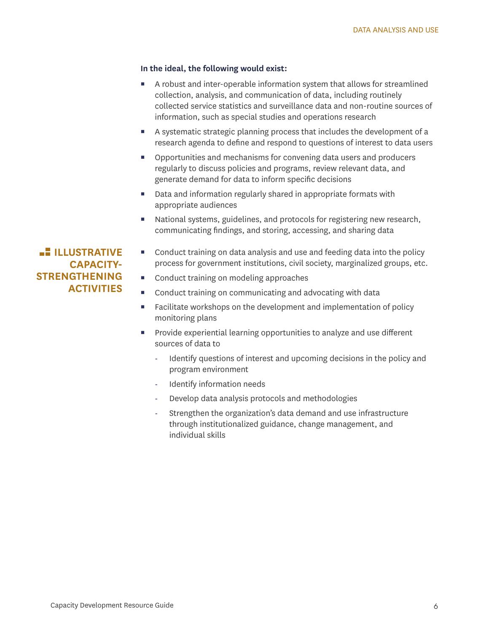#### **In the ideal, the following would exist:**

- A robust and inter-operable information system that allows for streamlined collection, analysis, and communication of data, including routinely collected service statistics and surveillance data and non-routine sources of information, such as special studies and operations research
- A systematic strategic planning process that includes the development of a research agenda to define and respond to questions of interest to data users
- Opportunities and mechanisms for convening data users and producers regularly to discuss policies and programs, review relevant data, and generate demand for data to inform specific decisions
- Data and information regularly shared in appropriate formats with appropriate audiences
- National systems, guidelines, and protocols for registering new research, communicating findings, and storing, accessing, and sharing data

 Conduct training on data analysis and use and feeding data into the policy process for government institutions, civil society, marginalized groups, etc.

- Conduct training on modeling approaches
- Conduct training on communicating and advocating with data
- **Facilitate workshops on the development and implementation of policy** monitoring plans
- **Provide experiential learning opportunities to analyze and use different** sources of data to
	- Identify questions of interest and upcoming decisions in the policy and program environment
	- Identify information needs
	- Develop data analysis protocols and methodologies
	- Strengthen the organization's data demand and use infrastructure through institutionalized guidance, change management, and individual skills

**ILLUSTRATIVE CAPACITY-STRENGTHENING ACTIVITIES**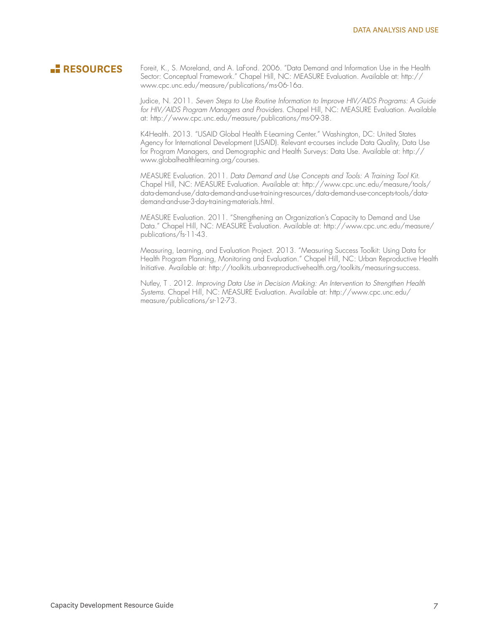**RESOURCES** Foreit, K., S. Moreland, and A. LaFond. 2006. "Data Demand and Information Use in the Health Sector: Conceptual Framework." Chapel Hill, NC: MEASURE Evaluation. Available at: http:// www.cpc.unc.edu/measure/publications/ms-06-16a.

> Judice, N. 2011. *Seven Steps to Use Routine Information to Improve HIV/AIDS Programs: A Guide for HIV/AIDS Program Managers and Providers.* Chapel Hill, NC: MEASURE Evaluation. Available at: http://www.cpc.unc.edu/measure/publications/ms-09-38.

K4Health. 2013. "USAID Global Health E-Learning Center." Washington, DC: United States Agency for International Development (USAID). Relevant e-courses include Data Quality, Data Use for Program Managers, and Demographic and Health Surveys: Data Use. Available at: http:// www.globalhealthlearning.org/courses.

MEASURE Evaluation. 2011. *Data Demand and Use Concepts and Tools: A Training Tool Kit.* Chapel Hill, NC: MEASURE Evaluation. Available at: http://www.cpc.unc.edu/measure/tools/ data-demand-use/data-demand-and-use-training-resources/data-demand-use-concepts-tools/datademand-and-use-3-day-training-materials.html.

MEASURE Evaluation. 2011. "Strengthening an Organization's Capacity to Demand and Use Data." Chapel Hill, NC: MEASURE Evaluation. Available at: http://www.cpc.unc.edu/measure/ publications/fs-11-43.

Measuring, Learning, and Evaluation Project. 2013. "Measuring Success Toolkit: Using Data for Health Program Planning, Monitoring and Evaluation." Chapel Hill, NC: Urban Reproductive Health Initiative. Available at: http://toolkits.urbanreproductivehealth.org/toolkits/measuring-success.

Nutley, T . 2012. *Improving Data Use in Decision Making: An Intervention to Strengthen Health Systems.* Chapel Hill, NC: MEASURE Evaluation. Available at: http://www.cpc.unc.edu/ measure/publications/sr-12-73.